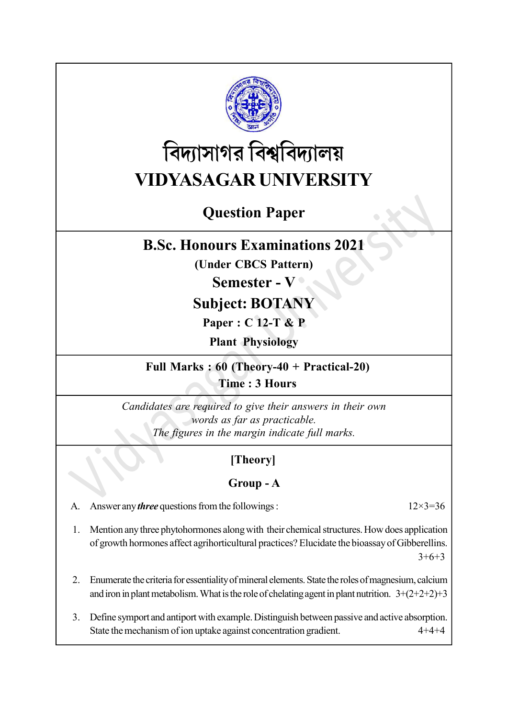

# বিদ্যাসাগর বিশ্ববিদ্যালয় VIDYASAGAR UNIVERSITY

# Question Paper

# B.Sc. Honours Examinations 2021

(Under CBCS Pattern)

## Semester - V

# Subject: BOTANY

Paper : C 12-T & P

Plant Physiology

Full Marks : 60 (Theory-40 + Practical-20) Time : 3 Hours

Candidates are required to give their answers in their own words as far as practicable. The figures in the margin indicate full marks.

## [Theory]

#### Group - A

A. Answer any *three* questions from the followings :  $12 \times 3 = 36$ 

1. Mention any three phytohormones along with their chemical structures. How does application of growth hormones affect agrihorticultural practices? Elucidate the bioassay of Gibberellins.  $3+6+3$ 

- 2. Enumerate the criteria for essentiality of mineral elements. State the roles of magnesium, calcium and iron in plant metabolism. What is the role of chelating agent in plant nutrition.  $3+(2+2+2)+3$
- 3. Define symport and antiport with example. Distinguish between passive and active absorption. State the mechanism of ion uptake against concentration gradient. 4+4+4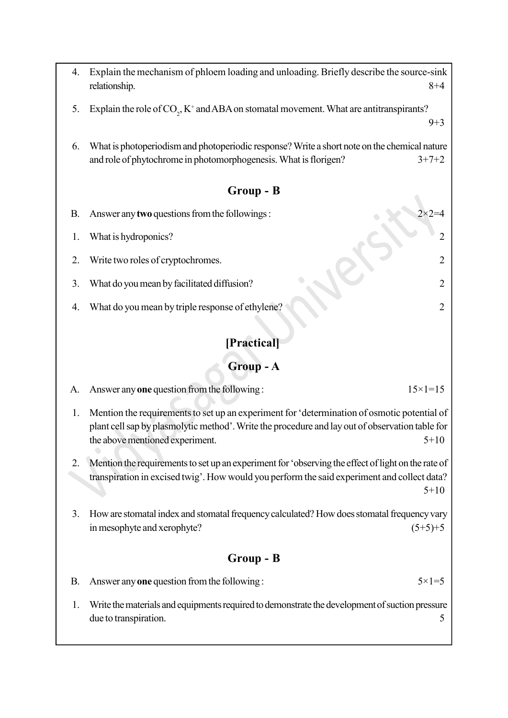- 4. Explain the mechanism of phloem loading and unloading. Briefly describe the source-sink relationship. 8+4
- 5. Explain the role of  $CO_2$ ,  $K^+$  and ABA on stomatal movement. What are antitranspirants?
- 6. What is photoperiodism and photoperiodic response? Write a short note on the chemical nature and role of phytochrome in photomorphogenesis. What is florigen?  $3+7+2$

 $9+3$ 

#### Group - B

- B. Answer any **two** questions from the followings :
	- 1. What is hydroponics? 2
- 2. Write two roles of cryptochromes.
- 3. What do you mean by facilitated diffusion? 2
- 4. What do you mean by triple response of ethylene? 2

### [Practical]

#### Group - A

- A. Answer any one question from the following :  $15 \times 1 = 15$
- 1. Mention the requirements to set up an experiment for 'determination of osmotic potential of plant cell sap by plasmolytic method'. Write the procedure and lay out of observation table for the above mentioned experiment.  $5+10$
- 2. Mention the requirements to set up an experiment for 'observing the effect of light on the rate of transpiration in excised twig'. How would you perform the said experiment and collect data?  $5+10$
- 3. How are stomatal index and stomatal frequency calculated? How does stomatal frequency vary in mesophyte and xerophyte?  $(5+5)+5$

#### Group - B

- B. Answer any one question from the following :  $5 \times 1 = 5$
- 1. Write the materials and equipments required to demonstrate the development of suction pressure due to transpiration. 5